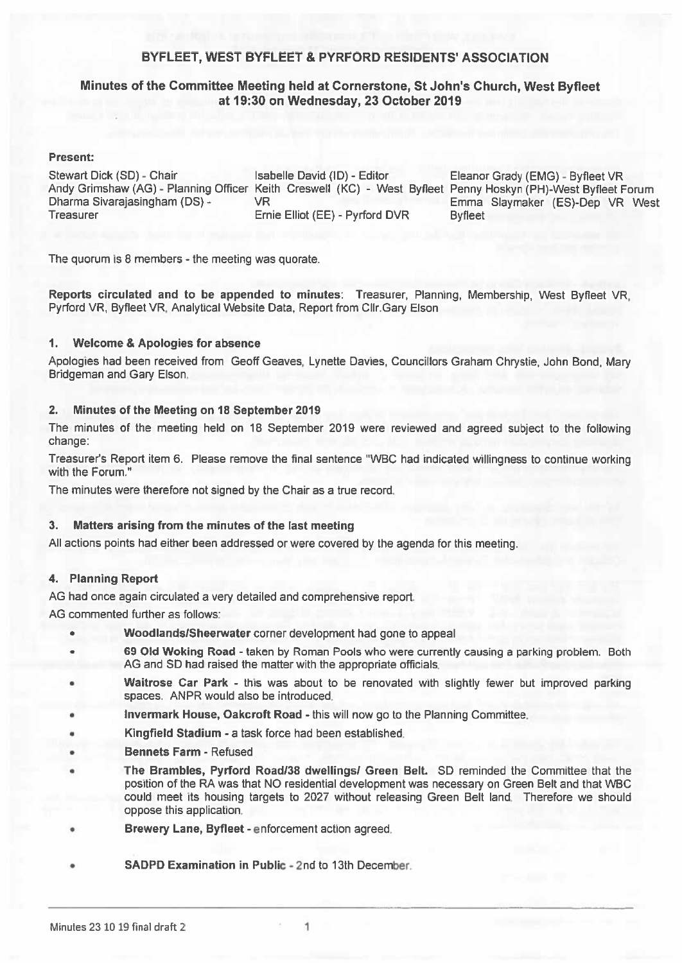#### BYFLEET, WEST BYFLEET & PYRFORD RESIDENTS' ASSOCIATION

#### Minutes of the Committee Meeting held at Cornerstone, St John's Church, West Byfleet at 19:30 on Wednesday, 23 October 2019

#### **Present:**

Stewart Dick (SD) - Chair Dharma Sivaraiasingham (DS) -**Treasurer** 

Isabelle David (ID) - Editor **VR** Ernie Elliot (EE) - Pyrford DVR

Eleanor Grady (EMG) - Byfleet VR Andy Grimshaw (AG) - Planning Officer Keith Creswell (KC) - West Byfleet Penny Hoskyn (PH)-West Byfleet Forum Emma Slavmaker (ES)-Dep VR West **Byfleet** 

The quorum is 8 members - the meeting was quorate.

Reports circulated and to be appended to minutes: Treasurer, Planning, Membership, West Byfleet VR. Pyrford VR, Byfleet VR, Analytical Website Data, Report from Cllr, Gary Elson

#### **Welcome & Apologies for absence**  $\mathbf{1}$ .

Apologies had been received from Geoff Geaves, Lynette Davies, Councillors Graham Chrystie, John Bond, Mary Bridgeman and Gary Elson.

#### Minutes of the Meeting on 18 September 2019  $2.$

The minutes of the meeting held on 18 September 2019 were reviewed and agreed subject to the following change:

Treasurer's Report item 6. Please remove the final sentence "WBC had indicated willingness to continue working with the Forum."

The minutes were therefore not signed by the Chair as a true record.

#### Matters arising from the minutes of the last meeting 3.

All actions points had either been addressed or were covered by the agenda for this meeting.

#### 4. Planning Report

AG had once again circulated a very detailed and comprehensive report.

AG commented further as follows:

- Woodlands/Sheerwater corner development had gone to appeal
- 69 Old Woking Road taken by Roman Pools who were currently causing a parking problem. Both AG and SD had raised the matter with the appropriate officials.
- Waitrose Car Park this was about to be renovated with slightly fewer but improved parking spaces. ANPR would also be introduced.
- Invermark House, Oakcroft Road this will now go to the Planning Committee.
- Kingfield Stadium a task force had been established. ٠
- **Bennets Farm Refused** ٠
- The Brambles, Pyrford Road/38 dwellings/ Green Belt. SD reminded the Committee that the position of the RA was that NO residential development was necessary on Green Belt and that WBC could meet its housing targets to 2027 without releasing Green Belt land. Therefore we should oppose this application.
- Brewery Lane, Byfleet enforcement action agreed.
- SADPD Examination in Public 2nd to 13th December.

1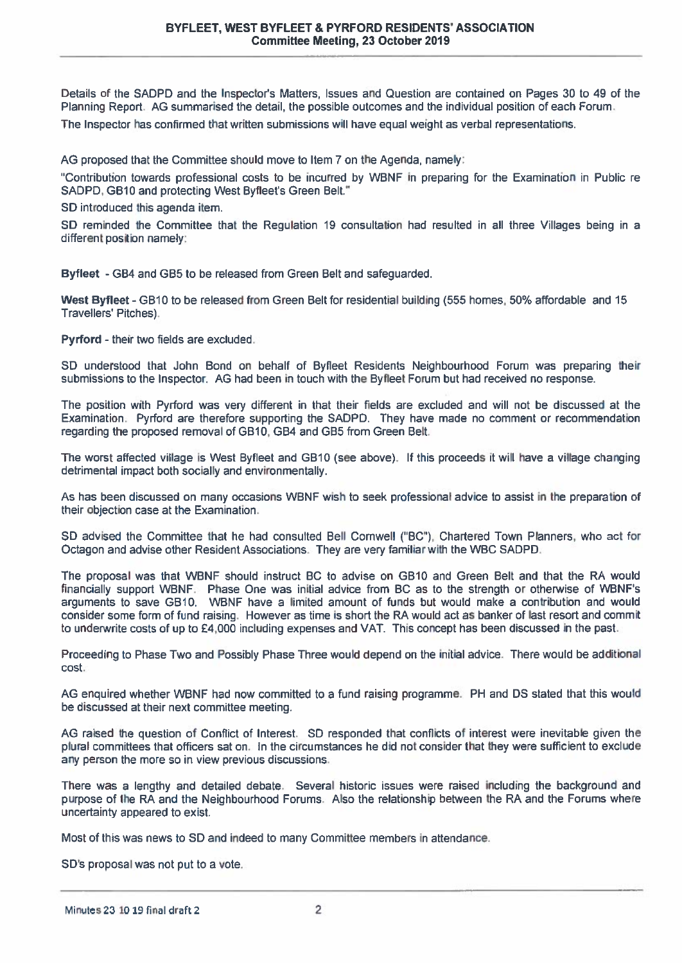Details of the SADPD and the Inspector's Matters, Issues and Question are contained on Pages 30 to 49 of the Planning Report. AG summarised the detail, the possible outcomes and the individual position of each Forum.

The Inspector has confirmed that written submissions will have equal weight as verbal representations.

AG proposed that the Committee should move to Item 7 on the Agenda, namely:

"Contribution towards professional costs to be incurred by WBNF in preparing for the Examination in Public re SADPD, GB10 and protecting West Byfleet's Green Belt."

SD introduced this agenda item.

SD reminded the Committee that the Regulation 19 consultation had resulted in all three Villages being in a different position namely:

Byfleet - GB4 and GB5 to be released from Green Belt and safeguarded.

West Byfleet - GB10 to be released from Green Belt for residential building (555 homes, 50% affordable and 15 Travellers' Pitches).

Pyrford - their two fields are excluded.

SD understood that John Bond on behalf of Byfleet Residents Neighbourhood Forum was preparing their submissions to the Inspector. AG had been in touch with the Byfleet Forum but had received no response.

The position with Pyrford was very different in that their fields are excluded and will not be discussed at the Examination. Pyrford are therefore supporting the SADPD. They have made no comment or recommendation regarding the proposed removal of GB10, GB4 and GB5 from Green Belt.

The worst affected village is West Byfleet and GB10 (see above). If this proceeds it will have a village changing detrimental impact both socially and environmentally.

As has been discussed on many occasions WBNF wish to seek professional advice to assist in the preparation of their objection case at the Examination.

SD advised the Committee that he had consulted Bell Comwell ("BC"). Chartered Town Planners, who act for Octagon and advise other Resident Associations. They are very familiar with the WBC SADPD.

The proposal was that WBNF should instruct BC to advise on GB10 and Green Belt and that the RA would financially support WBNF. Phase One was initial advice from BC as to the strength or otherwise of WBNF's arguments to save GB10. WBNF have a limited amount of funds but would make a contribution and would consider some form of fund raising. However as time is short the RA would act as banker of last resort and commit to underwrite costs of up to £4,000 including expenses and VAT. This concept has been discussed in the past.

Proceeding to Phase Two and Possibly Phase Three would depend on the initial advice. There would be additional cost.

AG enquired whether WBNF had now committed to a fund raising programme. PH and DS stated that this would be discussed at their next committee meeting.

AG raised the question of Conflict of Interest. SD responded that conflicts of interest were inevitable given the plural committees that officers sat on. In the circumstances he did not consider that they were sufficient to exclude any person the more so in view previous discussions.

There was a lengthy and detailed debate. Several historic issues were raised including the background and purpose of the RA and the Neighbourhood Forums. Also the relationship between the RA and the Forums where uncertainty appeared to exist.

Most of this was news to SD and indeed to many Committee members in attendance.

SD's proposal was not put to a vote.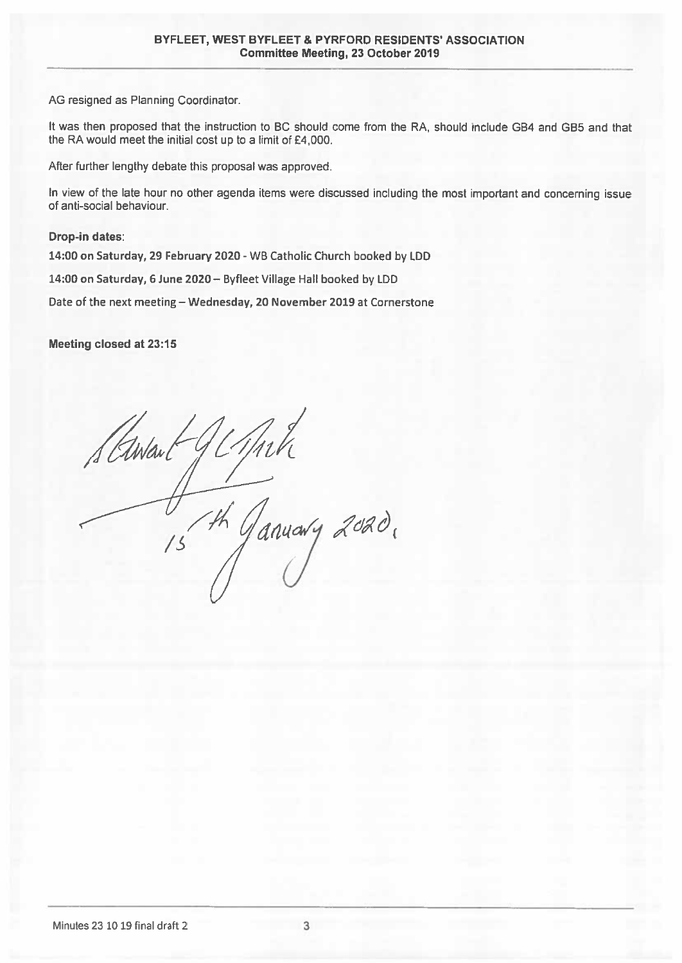AG resigned as Planning Coordinator.

It was then proposed that the instruction to BC should come from the RA, should include GB4 and GB5 and that the RA would meet the initial cost up to a limit of £4,000.

After further lengthy debate this proposal was approved.

In view of the late hour no other agenda items were discussed including the most important and concerning issue of anti-social behaviour.

**Drop-in dates:** 

14:00 on Saturday, 29 February 2020 - WB Catholic Church booked by LDD

14:00 on Saturday, 6 June 2020 - Byfleet Village Hall booked by LDD

Date of the next meeting - Wednesday, 20 November 2019 at Cornerstone

Meeting closed at 23:15

Stawant Th Ganuary 2020,  $\frac{1}{5}$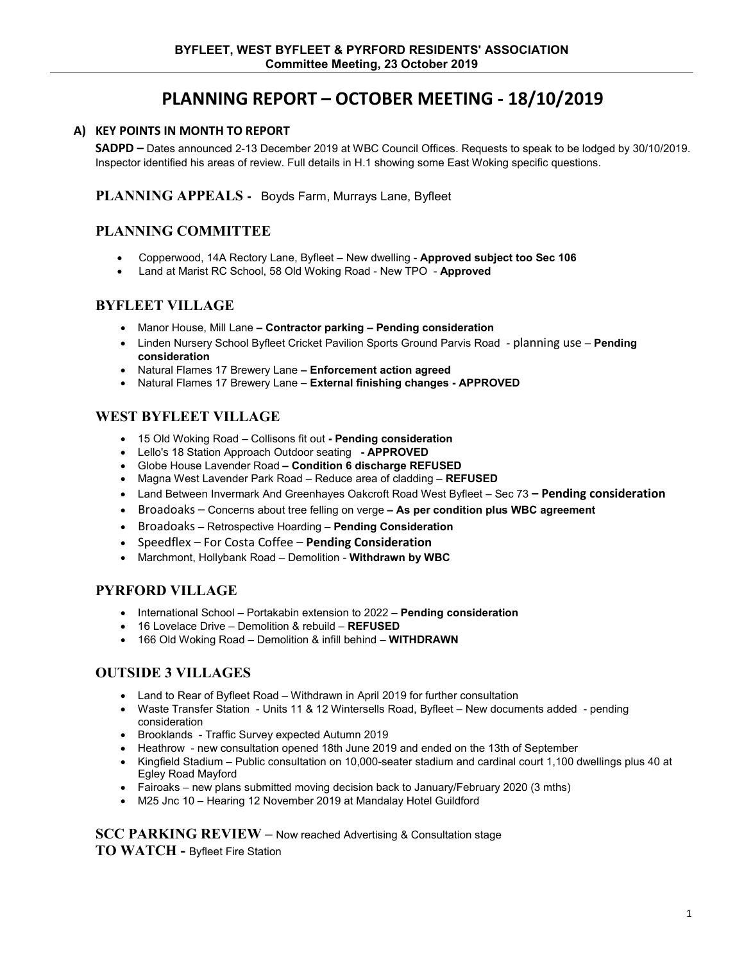# **PLANNING REPORT – OCTOBER MEETING - 18/10/2019**

#### **A) KEY POINTS IN MONTH TO REPORT**

**SADPD –** Dates announced 2-13 December 2019 at WBC Council Offices. Requests to speak to be lodged by 30/10/2019. Inspector identified his areas of review. Full details in H.1 showing some East Woking specific questions.

#### **PLANNING APPEALS -** Boyds Farm, Murrays Lane, Byfleet

#### **PLANNING COMMITTEE**

- Copperwood, 14A Rectory Lane, Byfleet New dwelling **Approved subject too Sec 106**
- Land at Marist RC School, 58 Old Woking Road New TPO **Approved**

#### **BYFLEET VILLAGE**

- Manor House, Mill Lane **– Contractor parking – Pending consideration**
- Linden Nursery School Byfleet Cricket Pavilion Sports Ground Parvis Road planning use **Pending consideration**
- Natural Flames 17 Brewery Lane **– Enforcement action agreed**
- Natural Flames 17 Brewery Lane **External finishing changes - APPROVED**

#### **WEST BYFLEET VILLAGE**

- 15 Old Woking Road Collisons fit out **- Pending consideration**
- Lello's 18 Station Approach Outdoor seating **- APPROVED**
- Globe House Lavender Road **– Condition 6 discharge REFUSED**
- Magna West Lavender Park Road Reduce area of cladding **REFUSED**
- Land Between Invermark And Greenhayes Oakcroft Road West Byfleet Sec 73 **– Pending consideration**
- Broadoaks Concerns about tree felling on verge **– As per condition plus WBC agreement**
- Broadoaks Retrospective Hoarding **Pending Consideration**
- Speedflex For Costa Coffee **Pending Consideration**
- Marchmont, Hollybank Road Demolition **Withdrawn by WBC**

#### **PYRFORD VILLAGE**

- International School Portakabin extension to 2022 **Pending consideration**
- 16 Lovelace Drive Demolition & rebuild **REFUSED**
- 166 Old Woking Road Demolition & infill behind **WITHDRAWN**

#### **OUTSIDE 3 VILLAGES**

- Land to Rear of Byfleet Road Withdrawn in April 2019 for further consultation
- Waste Transfer Station Units 11 & 12 Wintersells Road, Byfleet New documents added pending consideration
- Brooklands Traffic Survey expected Autumn 2019
- Heathrow new consultation opened 18th June 2019 and ended on the 13th of September
- Kingfield Stadium Public consultation on 10,000-seater stadium and cardinal court 1,100 dwellings plus 40 at Egley Road Mayford
- Fairoaks new plans submitted moving decision back to January/February 2020 (3 mths)
- M25 Jnc 10 Hearing 12 November 2019 at Mandalay Hotel Guildford

**SCC PARKING REVIEW –** Now reached Advertising & Consultation stage **TO WATCH -** Byfleet Fire Station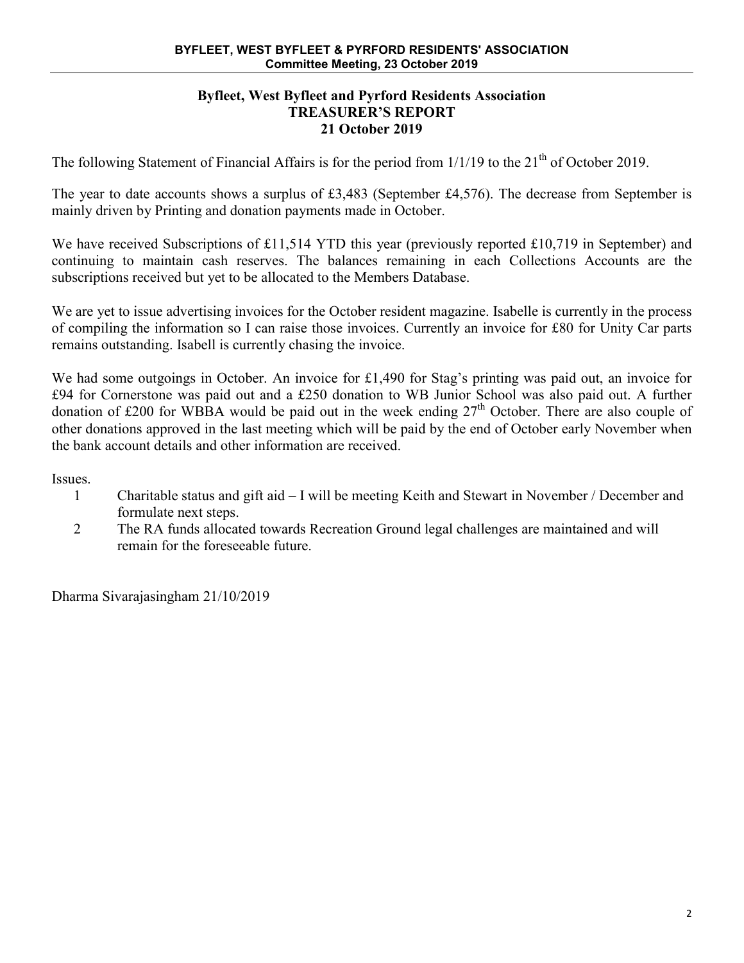#### **Byfleet, West Byfleet and Pyrford Residents Association TREASURER'S REPORT 21 October 2019**

The following Statement of Financial Affairs is for the period from 1/1/19 to the 21<sup>th</sup> of October 2019.

The year to date accounts shows a surplus of £3,483 (September £4,576). The decrease from September is mainly driven by Printing and donation payments made in October.

We have received Subscriptions of £11,514 YTD this year (previously reported £10,719 in September) and continuing to maintain cash reserves. The balances remaining in each Collections Accounts are the subscriptions received but yet to be allocated to the Members Database.

We are yet to issue advertising invoices for the October resident magazine. Isabelle is currently in the process of compiling the information so I can raise those invoices. Currently an invoice for £80 for Unity Car parts remains outstanding. Isabell is currently chasing the invoice.

We had some outgoings in October. An invoice for £1,490 for Stag's printing was paid out, an invoice for £94 for Cornerstone was paid out and a £250 donation to WB Junior School was also paid out. A further donation of £200 for WBBA would be paid out in the week ending  $27<sup>th</sup>$  October. There are also couple of other donations approved in the last meeting which will be paid by the end of October early November when the bank account details and other information are received.

Issues.

- 1 Charitable status and gift aid I will be meeting Keith and Stewart in November / December and formulate next steps.
- 2 The RA funds allocated towards Recreation Ground legal challenges are maintained and will remain for the foreseeable future.

Dharma Sivarajasingham 21/10/2019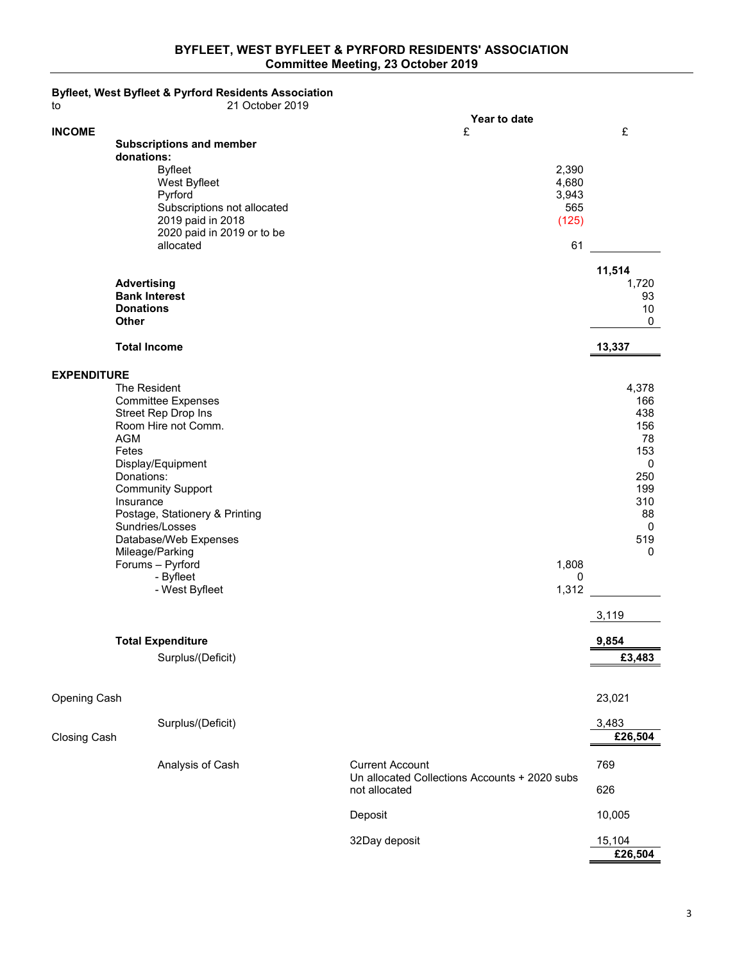#### **BYFLEET, WEST BYFLEET & PYRFORD RESIDENTS' ASSOCIATION Committee Meeting, 23 October 2019**

| to                 | Byfleet, West Byfleet & Pyrford Residents Association<br>21 October 2019                                                                                                                                                                                                                                                                       |                                                                                          |                                               |                                                                                                             |
|--------------------|------------------------------------------------------------------------------------------------------------------------------------------------------------------------------------------------------------------------------------------------------------------------------------------------------------------------------------------------|------------------------------------------------------------------------------------------|-----------------------------------------------|-------------------------------------------------------------------------------------------------------------|
|                    |                                                                                                                                                                                                                                                                                                                                                | Year to date                                                                             |                                               |                                                                                                             |
| <b>INCOME</b>      | <b>Subscriptions and member</b><br>donations:<br><b>Byfleet</b><br>West Byfleet<br>Pyrford<br>Subscriptions not allocated<br>2019 paid in 2018<br>2020 paid in 2019 or to be<br>allocated                                                                                                                                                      | £                                                                                        | 2,390<br>4,680<br>3,943<br>565<br>(125)<br>61 | £<br>11,514                                                                                                 |
|                    | <b>Advertising</b><br><b>Bank Interest</b><br><b>Donations</b><br>Other                                                                                                                                                                                                                                                                        |                                                                                          |                                               | 1,720<br>93<br>10<br>$\mathbf 0$                                                                            |
|                    | <b>Total Income</b>                                                                                                                                                                                                                                                                                                                            |                                                                                          |                                               | 13,337                                                                                                      |
| <b>EXPENDITURE</b> | The Resident<br><b>Committee Expenses</b><br>Street Rep Drop Ins<br>Room Hire not Comm.<br><b>AGM</b><br>Fetes<br>Display/Equipment<br>Donations:<br><b>Community Support</b><br>Insurance<br>Postage, Stationery & Printing<br>Sundries/Losses<br>Database/Web Expenses<br>Mileage/Parking<br>Forums - Pyrford<br>- Byfleet<br>- West Byfleet |                                                                                          | 1,808<br>0<br>1,312                           | 4,378<br>166<br>438<br>156<br>78<br>153<br>0<br>250<br>199<br>310<br>88<br>0<br>519<br>$\mathbf 0$<br>3,119 |
|                    | <b>Total Expenditure</b>                                                                                                                                                                                                                                                                                                                       |                                                                                          |                                               | 9,854                                                                                                       |
|                    | Surplus/(Deficit)                                                                                                                                                                                                                                                                                                                              |                                                                                          |                                               | £3,483                                                                                                      |
| Opening Cash       | Surplus/(Deficit)                                                                                                                                                                                                                                                                                                                              |                                                                                          |                                               | 23,021<br>3,483                                                                                             |
| Closing Cash       |                                                                                                                                                                                                                                                                                                                                                |                                                                                          |                                               | £26,504                                                                                                     |
|                    | Analysis of Cash                                                                                                                                                                                                                                                                                                                               | <b>Current Account</b><br>Un allocated Collections Accounts + 2020 subs<br>not allocated |                                               | 769<br>626                                                                                                  |
|                    |                                                                                                                                                                                                                                                                                                                                                | Deposit                                                                                  |                                               | 10,005                                                                                                      |
|                    |                                                                                                                                                                                                                                                                                                                                                | 32Day deposit                                                                            |                                               | 15,104                                                                                                      |

**£26,504**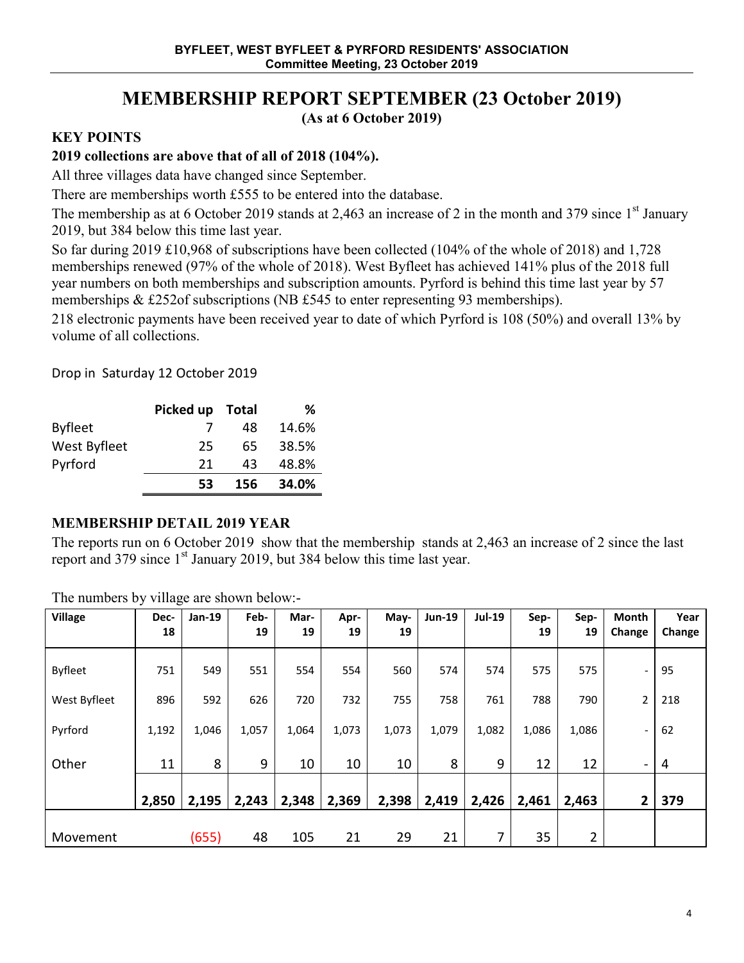# **MEMBERSHIP REPORT SEPTEMBER (23 October 2019)**

**(As at 6 October 2019)**

# **KEY POINTS**

# **2019 collections are above that of all of 2018 (104%).**

All three villages data have changed since September.

There are memberships worth £555 to be entered into the database.

The membership as at 6 October 2019 stands at 2,463 an increase of 2 in the month and 379 since  $1<sup>st</sup>$  January 2019, but 384 below this time last year.

So far during 2019 £10,968 of subscriptions have been collected (104% of the whole of 2018) and 1,728 memberships renewed (97% of the whole of 2018). West Byfleet has achieved 141% plus of the 2018 full year numbers on both memberships and subscription amounts. Pyrford is behind this time last year by 57 memberships & £252of subscriptions (NB £545 to enter representing 93 memberships).

218 electronic payments have been received year to date of which Pyrford is 108 (50%) and overall 13% by volume of all collections.

Drop in Saturday 12 October 2019

|                | Picked up Total |     | ℅     |
|----------------|-----------------|-----|-------|
| <b>Byfleet</b> |                 | 48  | 14.6% |
| West Byfleet   | 25              | 65  | 38.5% |
| Pyrford        | 21              | 43  | 48.8% |
|                | 53              | 156 | 34.0% |

### **MEMBERSHIP DETAIL 2019 YEAR**

The reports run on 6 October 2019 show that the membership stands at 2,463 an increase of 2 since the last report and 379 since 1<sup>st</sup> January 2019, but 384 below this time last year.

| <b>Village</b> | Dec-<br>18 | Jan-19 | Feb-<br>19 | Mar-<br>19 | Apr-<br>19 | May-<br>19 | <b>Jun-19</b> | Jul-19 | Sep-<br>19 | Sep-<br>19 | <b>Month</b><br>Change       | Year   |
|----------------|------------|--------|------------|------------|------------|------------|---------------|--------|------------|------------|------------------------------|--------|
|                |            |        |            |            |            |            |               |        |            |            |                              | Change |
| <b>Byfleet</b> | 751        | 549    | 551        | 554        | 554        | 560        | 574           | 574    | 575        | 575        | -                            | 95     |
| West Byfleet   | 896        | 592    | 626        | 720        | 732        | 755        | 758           | 761    | 788        | 790        | $\overline{c}$               | 218    |
| Pyrford        | 1,192      | 1,046  | 1,057      | 1,064      | 1,073      | 1,073      | 1,079         | 1,082  | 1,086      | 1,086      |                              | 62     |
| Other          | 11         | 8      | 9          | 10         | 10         | 10         | 8             | 9      | 12         | 12         | $\qquad \qquad \blacksquare$ | 4      |
|                | 2,850      | 2,195  | 2,243      | 2,348      | 2,369      | 2,398      | 2,419         | 2,426  | 2,461      | 2,463      | 2                            | 379    |
| Movement       |            | (655)  | 48         | 105        | 21         | 29         | 21            | 7      | 35         | 2          |                              |        |

The numbers by village are shown below:-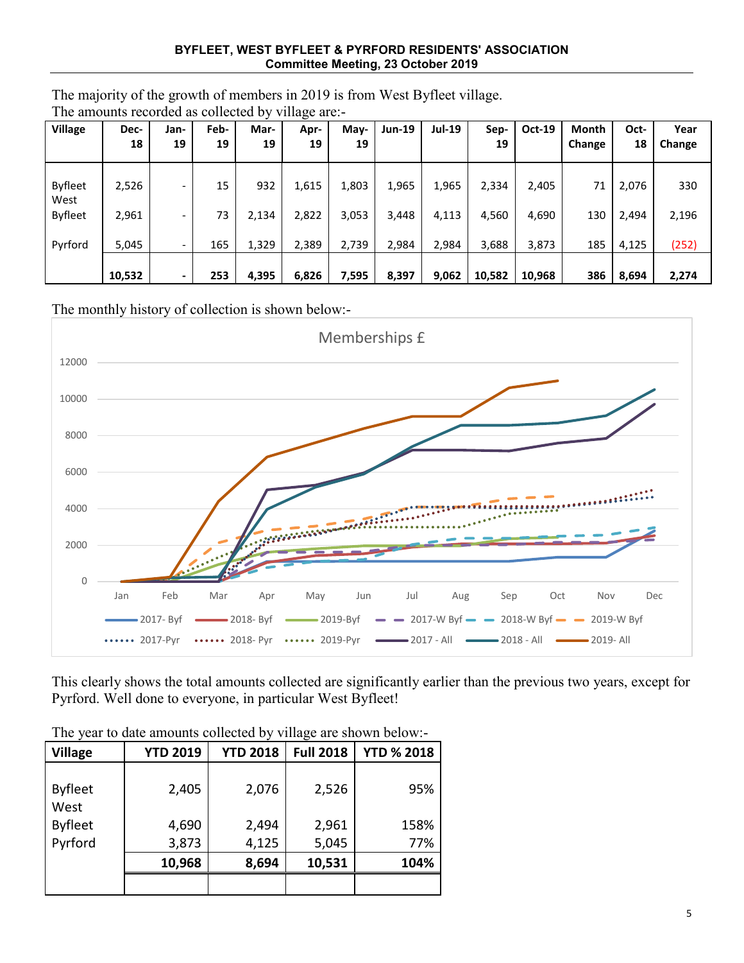#### **BYFLEET, WEST BYFLEET & PYRFORD RESIDENTS' ASSOCIATION Committee Meeting, 23 October 2019**

The majority of the growth of members in 2019 is from West Byfleet village. The amounts recorded as collected by village are:-

| <b>Village</b>         | Dec-<br>18 | Jan-<br>19               | Feb-<br>19 | Mar-<br>19 | Apr-<br>19 | May-<br>19 | <b>Jun-19</b> | <b>Jul-19</b> | Sep-<br>19 | <b>Oct-19</b> | <b>Month</b><br><b>Change</b> | Oct-<br>18 | Year<br>Change |
|------------------------|------------|--------------------------|------------|------------|------------|------------|---------------|---------------|------------|---------------|-------------------------------|------------|----------------|
| <b>Byfleet</b><br>West | 2,526      | $\overline{\phantom{a}}$ | 15         | 932        | 1,615      | 1,803      | 1,965         | 1,965         | 2,334      | 2,405         | 71                            | 2,076      | 330            |
| <b>Byfleet</b>         | 2,961      | $\overline{\phantom{a}}$ | 73         | 2,134      | 2,822      | 3,053      | 3,448         | 4,113         | 4,560      | 4,690         | 130                           | 2,494      | 2,196          |
| Pyrford                | 5,045      |                          | 165        | 1,329      | 2,389      | 2,739      | 2,984         | 2,984         | 3,688      | 3,873         | 185                           | 4,125      | (252)          |
|                        | 10,532     | $\blacksquare$           | 253        | 4,395      | 6,826      | 7,595      | 8,397         | 9,062         | 10,582     | 10,968        | 386                           | 8,694      | 2,274          |

The monthly history of collection is shown below:-



This clearly shows the total amounts collected are significantly earlier than the previous two years, except for Pyrford. Well done to everyone, in particular West Byfleet!

| <b>Village</b>         | <b>YTD 2019</b> | <b>YTD 2018</b> | <b>Full 2018</b> | <b>YTD % 2018</b> |
|------------------------|-----------------|-----------------|------------------|-------------------|
| <b>Byfleet</b><br>West | 2,405           | 2,076           | 2,526            | 95%               |
| <b>Byfleet</b>         | 4,690           | 2,494           | 2,961            | 158%              |
| Pyrford                | 3,873           | 4,125           | 5,045            | 77%               |
|                        | 10,968          | 8,694           | 10,531           | 104%              |
|                        |                 |                 |                  |                   |

The year to date amounts collected by village are shown below:-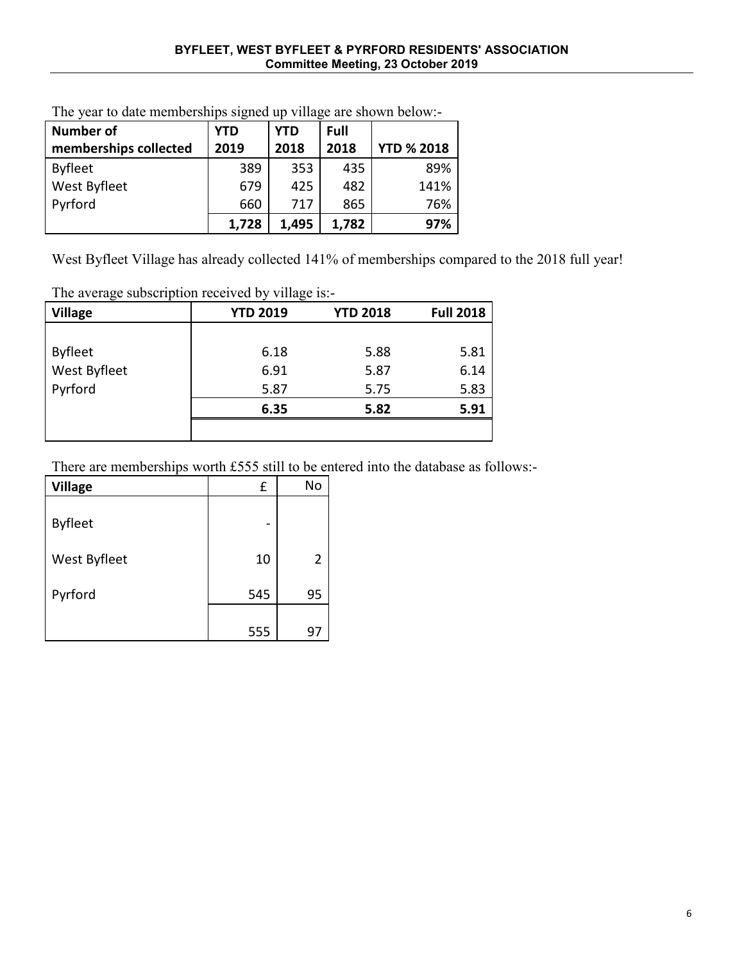| <b>Number of</b>      | YTD   | <b>YTD</b> | Full  |                   |
|-----------------------|-------|------------|-------|-------------------|
| memberships collected | 2019  | 2018       | 2018  | <b>YTD % 2018</b> |
| <b>Byfleet</b>        | 389   | 353        | 435   | 89%               |
| West Byfleet          | 679   | 425        | 482   | 141%              |
| Pyrford               | 660   | 717        | 865   | 76%               |
|                       | 1,728 | 1,495      | 1,782 | 97%               |

The year to date memberships signed up village are shown below:-

West Byfleet Village has already collected 141% of memberships compared to the 2018 full year!

The average subscription received by village is:-

| <b>Village</b> | <b>YTD 2019</b> | <b>YTD 2018</b> | <b>Full 2018</b> |
|----------------|-----------------|-----------------|------------------|
|                |                 |                 |                  |
| <b>Byfleet</b> | 6.18            | 5.88            | 5.81             |
| West Byfleet   | 6.91            | 5.87            | 6.14             |
| Pyrford        | 5.87            | 5.75            | 5.83             |
|                | 6.35            | 5.82            | 5.91             |
|                |                 |                 |                  |

There are memberships worth £555 still to be entered into the database as follows:-

| <b>Village</b> | £   | No |
|----------------|-----|----|
| <b>Byfleet</b> |     |    |
| West Byfleet   | 10  | 2  |
| Pyrford        | 545 | 95 |
|                | 555 | 97 |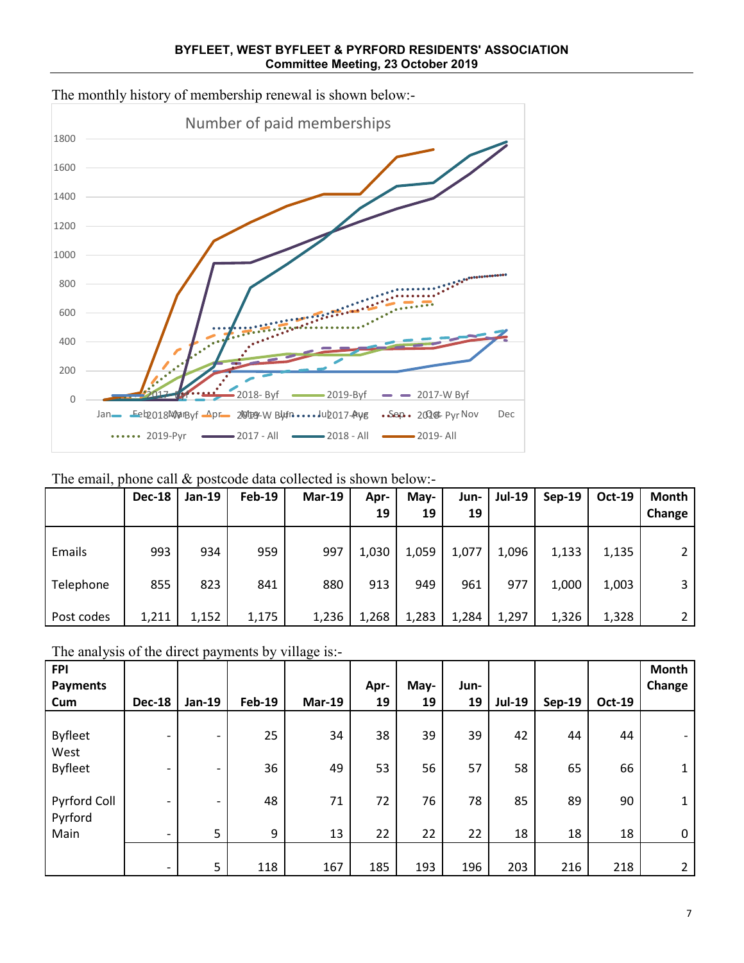

**BYFLEET, WEST BYFLEET & PYRFORD RESIDENTS' ASSOCIATION Committee Meeting, 23 October 2019**

The email, phone call  $\&$  postcode data collected is shown below:-

|            | <b>Dec-18</b> | <b>Jan-19</b> | <b>Feb-19</b> | $Mar-19$ | Apr-<br>19 | May-<br>19 | Jun-<br>19 | <b>Jul-19</b> | Sep-19 | <b>Oct-19</b> | <b>Month</b><br>Change |
|------------|---------------|---------------|---------------|----------|------------|------------|------------|---------------|--------|---------------|------------------------|
| Emails     | 993           | 934           | 959           | 997      | 1,030      | 1,059      | 1,077      | 1,096         | 1,133  | 1,135         |                        |
| Telephone  | 855           | 823           | 841           | 880      | 913        | 949        | 961        | 977           | 1,000  | 1,003         | 3                      |
| Post codes | 1,211         | 1,152         | 1,175         | 1,236    | 1,268      | 1,283      | 1,284      | 1,297         | 1,326  | 1,328         |                        |

The analysis of the direct payments by village is:-

| <b>FPI</b><br><b>Payments</b> |                          |                          |               |          | Apr- | May- | Jun- |               |               |               | Month<br>Change |
|-------------------------------|--------------------------|--------------------------|---------------|----------|------|------|------|---------------|---------------|---------------|-----------------|
| Cum                           | <b>Dec-18</b>            | <b>Jan-19</b>            | <b>Feb-19</b> | $Mar-19$ | 19   | 19   | 19   | <b>Jul-19</b> | <b>Sep-19</b> | <b>Oct-19</b> |                 |
| <b>Byfleet</b><br>West        |                          |                          | 25            | 34       | 38   | 39   | 39   | 42            | 44            | 44            |                 |
| <b>Byfleet</b>                | $\overline{\phantom{0}}$ | $\overline{\phantom{0}}$ | 36            | 49       | 53   | 56   | 57   | 58            | 65            | 66            | $\mathbf{1}$    |
| Pyrford Coll<br>Pyrford       | -                        |                          | 48            | 71       | 72   | 76   | 78   | 85            | 89            | 90            | $\mathbf{1}$    |
| Main                          | -                        | 5                        | 9             | 13       | 22   | 22   | 22   | 18            | 18            | 18            | 0               |
|                               | $\overline{\phantom{0}}$ | 5 <sup>5</sup>           | 118           | 167      | 185  | 193  | 196  | 203           | 216           | 218           | $\mathbf{2}$    |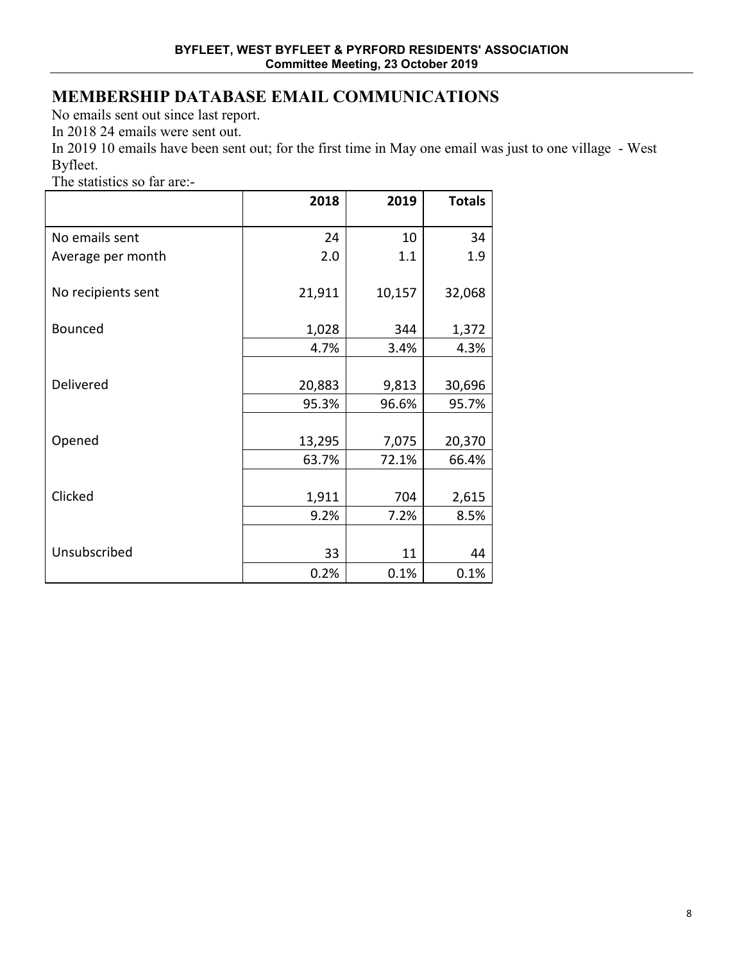# **MEMBERSHIP DATABASE EMAIL COMMUNICATIONS**

No emails sent out since last report.

In 2018 24 emails were sent out.

In 2019 10 emails have been sent out; for the first time in May one email was just to one village - West Byfleet.

The statistics so far are:-

|                    | 2018   | 2019   | <b>Totals</b> |
|--------------------|--------|--------|---------------|
| No emails sent     | 24     | 10     | 34            |
| Average per month  | 2.0    | 1.1    | 1.9           |
| No recipients sent | 21,911 | 10,157 | 32,068        |
| Bounced            | 1,028  | 344    | 1,372         |
|                    | 4.7%   | 3.4%   | 4.3%          |
|                    |        |        |               |
| Delivered          | 20,883 | 9,813  | 30,696        |
|                    | 95.3%  | 96.6%  | 95.7%         |
|                    |        |        |               |
| Opened             | 13,295 | 7,075  | 20,370        |
|                    | 63.7%  | 72.1%  | 66.4%         |
|                    |        |        |               |
| Clicked            | 1,911  | 704    | 2,615         |
|                    | 9.2%   | 7.2%   | 8.5%          |
|                    |        |        |               |
| Unsubscribed       | 33     | 11     | 44            |
|                    | 0.2%   | 0.1%   | 0.1%          |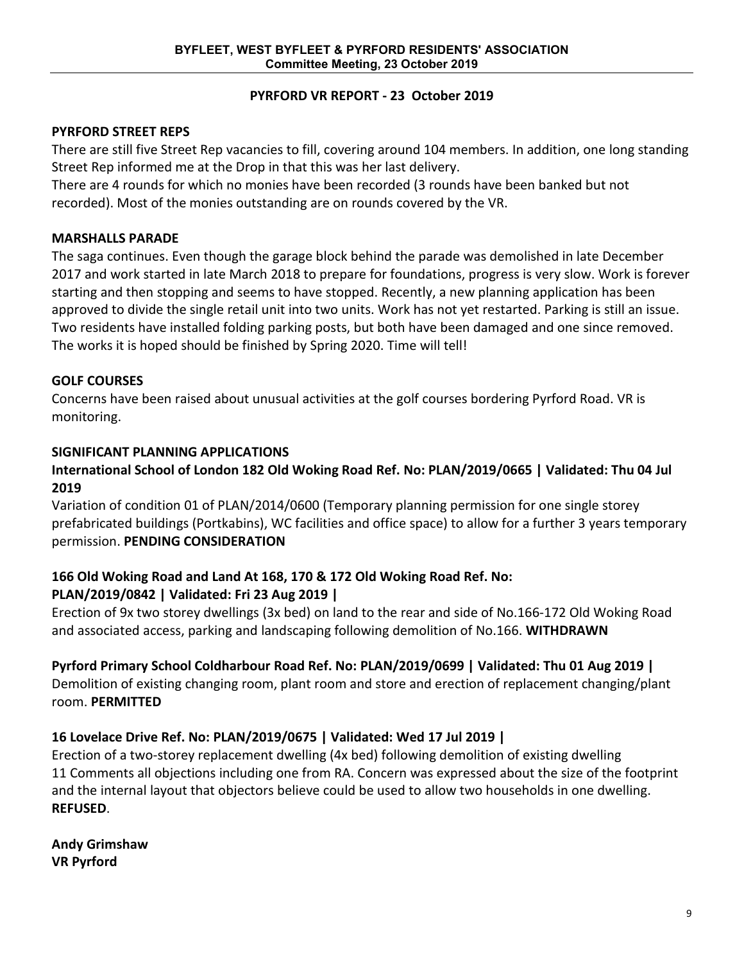#### **PYRFORD VR REPORT - 23 October 2019**

#### **PYRFORD STREET REPS**

There are still five Street Rep vacancies to fill, covering around 104 members. In addition, one long standing Street Rep informed me at the Drop in that this was her last delivery.

There are 4 rounds for which no monies have been recorded (3 rounds have been banked but not recorded). Most of the monies outstanding are on rounds covered by the VR.

#### **MARSHALLS PARADE**

The saga continues. Even though the garage block behind the parade was demolished in late December 2017 and work started in late March 2018 to prepare for foundations, progress is very slow. Work is forever starting and then stopping and seems to have stopped. Recently, a new planning application has been approved to divide the single retail unit into two units. Work has not yet restarted. Parking is still an issue. Two residents have installed folding parking posts, but both have been damaged and one since removed. The works it is hoped should be finished by Spring 2020. Time will tell!

## **GOLF COURSES**

Concerns have been raised about unusual activities at the golf courses bordering Pyrford Road. VR is monitoring.

### **SIGNIFICANT PLANNING APPLICATIONS**

### **International School of London 182 Old Woking Road Ref. No: PLAN/2019/0665 | Validated: Thu 04 Jul 2019**

Variation of condition 01 of PLAN/2014/0600 (Temporary planning permission for one single storey prefabricated buildings (Portkabins), WC facilities and office space) to allow for a further 3 years temporary permission. **PENDING CONSIDERATION**

## **166 Old Woking Road and Land At 168, 170 & 172 Old Woking Road Ref. No: PLAN/2019/0842 | Validated: Fri 23 Aug 2019 |**

Erection of 9x two storey dwellings (3x bed) on land to the rear and side of No.166-172 Old Woking Road and associated access, parking and landscaping following demolition of No.166. **WITHDRAWN**

### **Pyrford Primary School Coldharbour Road Ref. No: PLAN/2019/0699 | Validated: Thu 01 Aug 2019 |**

Demolition of existing changing room, plant room and store and erection of replacement changing/plant room. **PERMITTED**

### **16 Lovelace Drive Ref. No: PLAN/2019/0675 | Validated: Wed 17 Jul 2019 |**

Erection of a two-storey replacement dwelling (4x bed) following demolition of existing dwelling 11 Comments all objections including one from RA. Concern was expressed about the size of the footprint and the internal layout that objectors believe could be used to allow two households in one dwelling. **REFUSED**.

**Andy Grimshaw VR Pyrford**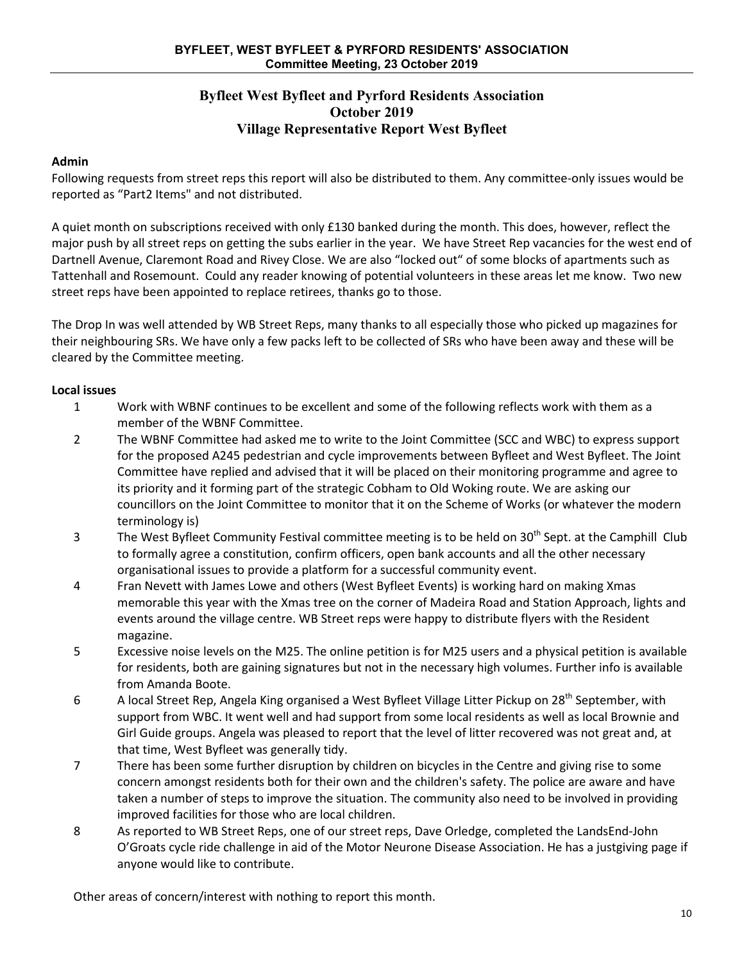#### **Byfleet West Byfleet and Pyrford Residents Association October 2019 Village Representative Report West Byfleet**

#### **Admin**

Following requests from street reps this report will also be distributed to them. Any committee-only issues would be reported as "Part2 Items" and not distributed.

A quiet month on subscriptions received with only £130 banked during the month. This does, however, reflect the major push by all street reps on getting the subs earlier in the year. We have Street Rep vacancies for the west end of Dartnell Avenue, Claremont Road and Rivey Close. We are also "locked out" of some blocks of apartments such as Tattenhall and Rosemount. Could any reader knowing of potential volunteers in these areas let me know. Two new street reps have been appointed to replace retirees, thanks go to those.

The Drop In was well attended by WB Street Reps, many thanks to all especially those who picked up magazines for their neighbouring SRs. We have only a few packs left to be collected of SRs who have been away and these will be cleared by the Committee meeting.

#### **Local issues**

- 1 Work with WBNF continues to be excellent and some of the following reflects work with them as a member of the WBNF Committee.
- 2 The WBNF Committee had asked me to write to the Joint Committee (SCC and WBC) to express support for the proposed A245 pedestrian and cycle improvements between Byfleet and West Byfleet. The Joint Committee have replied and advised that it will be placed on their monitoring programme and agree to its priority and it forming part of the strategic Cobham to Old Woking route. We are asking our councillors on the Joint Committee to monitor that it on the Scheme of Works (or whatever the modern terminology is)
- 3 The West Byfleet Community Festival committee meeting is to be held on 30<sup>th</sup> Sept. at the Camphill Club to formally agree a constitution, confirm officers, open bank accounts and all the other necessary organisational issues to provide a platform for a successful community event.
- 4 Fran Nevett with James Lowe and others (West Byfleet Events) is working hard on making Xmas memorable this year with the Xmas tree on the corner of Madeira Road and Station Approach, lights and events around the village centre. WB Street reps were happy to distribute flyers with the Resident magazine.
- 5 Excessive noise levels on the M25. The online petition is for M25 users and a physical petition is available for residents, both are gaining signatures but not in the necessary high volumes. Further info is available from Amanda Boote.
- 6 A local Street Rep, Angela King organised a West Byfleet Village Litter Pickup on 28<sup>th</sup> September, with support from WBC. It went well and had support from some local residents as well as local Brownie and Girl Guide groups. Angela was pleased to report that the level of litter recovered was not great and, at that time, West Byfleet was generally tidy.
- 7 There has been some further disruption by children on bicycles in the Centre and giving rise to some concern amongst residents both for their own and the children's safety. The police are aware and have taken a number of steps to improve the situation. The community also need to be involved in providing improved facilities for those who are local children.
- 8 As reported to WB Street Reps, one of our street reps, Dave Orledge, completed the LandsEnd-John O'Groats cycle ride challenge in aid of the Motor Neurone Disease Association. He has a justgiving page if anyone would like to contribute.

Other areas of concern/interest with nothing to report this month.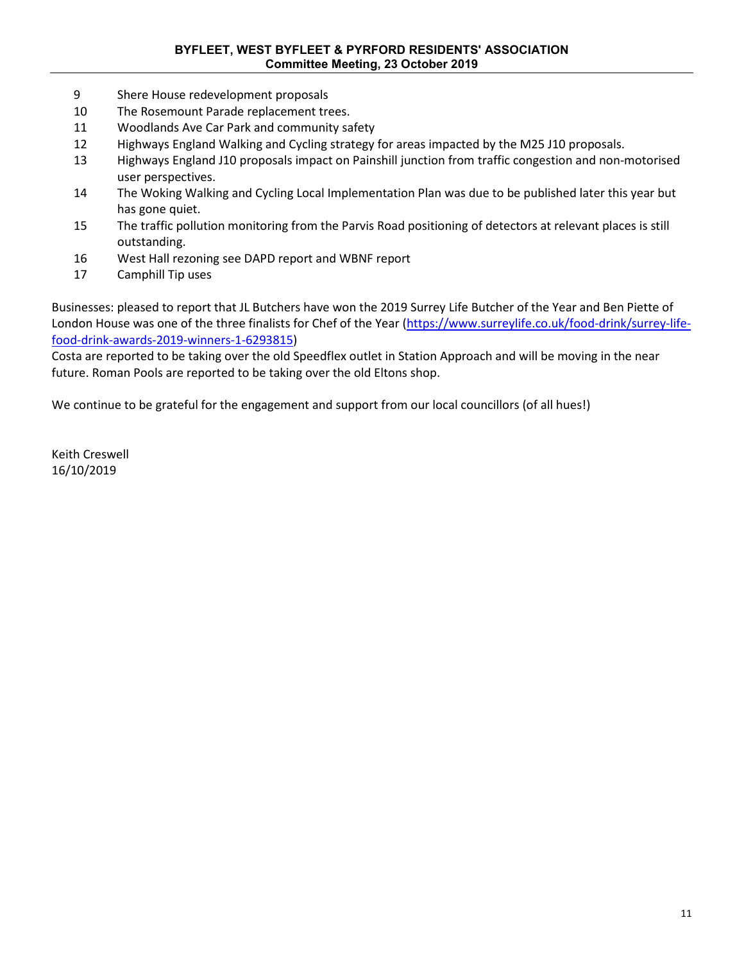#### **BYFLEET, WEST BYFLEET & PYRFORD RESIDENTS' ASSOCIATION Committee Meeting, 23 October 2019**

- 9 Shere House redevelopment proposals
- 10 The Rosemount Parade replacement trees.
- 11 Woodlands Ave Car Park and community safety
- 12 Highways England Walking and Cycling strategy for areas impacted by the M25 J10 proposals.
- 13 Highways England J10 proposals impact on Painshill junction from traffic congestion and non-motorised user perspectives.
- 14 The Woking Walking and Cycling Local Implementation Plan was due to be published later this year but has gone quiet.
- 15 The traffic pollution monitoring from the Parvis Road positioning of detectors at relevant places is still outstanding.
- 16 West Hall rezoning see DAPD report and WBNF report
- 17 Camphill Tip uses

Businesses: pleased to report that JL Butchers have won the 2019 Surrey Life Butcher of the Year and Ben Piette of London House was one of the three finalists for Chef of the Year [\(https://www.surreylife.co.uk/food-drink/surrey-life](https://www.surreylife.co.uk/food-drink/surrey-life-food-drink-awards-2019-winners-1-6293815)[food-drink-awards-2019-winners-1-6293815\)](https://www.surreylife.co.uk/food-drink/surrey-life-food-drink-awards-2019-winners-1-6293815)

Costa are reported to be taking over the old Speedflex outlet in Station Approach and will be moving in the near future. Roman Pools are reported to be taking over the old Eltons shop.

We continue to be grateful for the engagement and support from our local councillors (of all hues!)

Keith Creswell 16/10/2019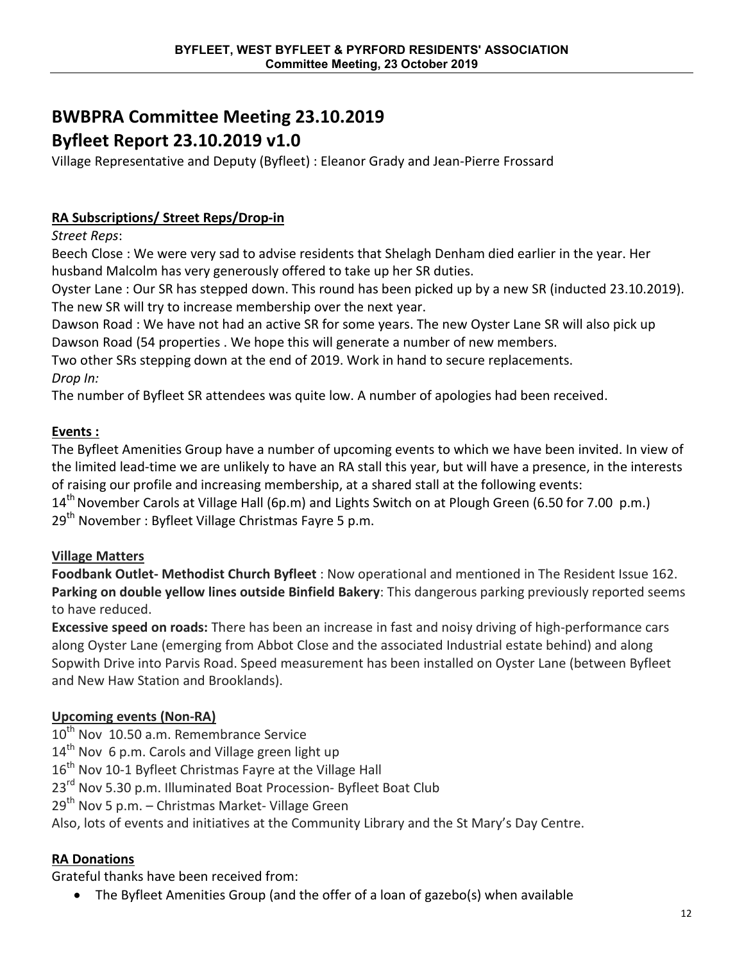# **BWBPRA Committee Meeting 23.10.2019**

# **Byfleet Report 23.10.2019 v1.0**

Village Representative and Deputy (Byfleet) : Eleanor Grady and Jean-Pierre Frossard

# **RA Subscriptions/ Street Reps/Drop-in**

*Street Reps*:

Beech Close : We were very sad to advise residents that Shelagh Denham died earlier in the year. Her husband Malcolm has very generously offered to take up her SR duties.

Oyster Lane : Our SR has stepped down. This round has been picked up by a new SR (inducted 23.10.2019). The new SR will try to increase membership over the next year.

Dawson Road : We have not had an active SR for some years. The new Oyster Lane SR will also pick up Dawson Road (54 properties . We hope this will generate a number of new members.

Two other SRs stepping down at the end of 2019. Work in hand to secure replacements. *Drop In:*

The number of Byfleet SR attendees was quite low. A number of apologies had been received.

# **Events :**

The Byfleet Amenities Group have a number of upcoming events to which we have been invited. In view of the limited lead-time we are unlikely to have an RA stall this year, but will have a presence, in the interests of raising our profile and increasing membership, at a shared stall at the following events:  $14<sup>th</sup>$  November Carols at Village Hall (6p.m) and Lights Switch on at Plough Green (6.50 for 7.00 p.m.)

29<sup>th</sup> November : Byfleet Village Christmas Fayre 5 p.m.

# **Village Matters**

**Foodbank Outlet- Methodist Church Byfleet** : Now operational and mentioned in The Resident Issue 162. **Parking on double yellow lines outside Binfield Bakery**: This dangerous parking previously reported seems to have reduced.

**Excessive speed on roads:** There has been an increase in fast and noisy driving of high-performance cars along Oyster Lane (emerging from Abbot Close and the associated Industrial estate behind) and along Sopwith Drive into Parvis Road. Speed measurement has been installed on Oyster Lane (between Byfleet and New Haw Station and Brooklands).

# **Upcoming events (Non-RA)**

 $10^{th}$  Nov 10.50 a.m. Remembrance Service

 $14<sup>th</sup>$  Nov 6 p.m. Carols and Village green light up

 $16<sup>th</sup>$  Nov 10-1 Byfleet Christmas Fayre at the Village Hall

23<sup>rd</sup> Nov 5.30 p.m. Illuminated Boat Procession- Byfleet Boat Club

29<sup>th</sup> Nov 5 p.m. – Christmas Market- Village Green

Also, lots of events and initiatives at the Community Library and the St Mary's Day Centre.

## **RA Donations**

Grateful thanks have been received from:

• The Byfleet Amenities Group (and the offer of a loan of gazebo(s) when available